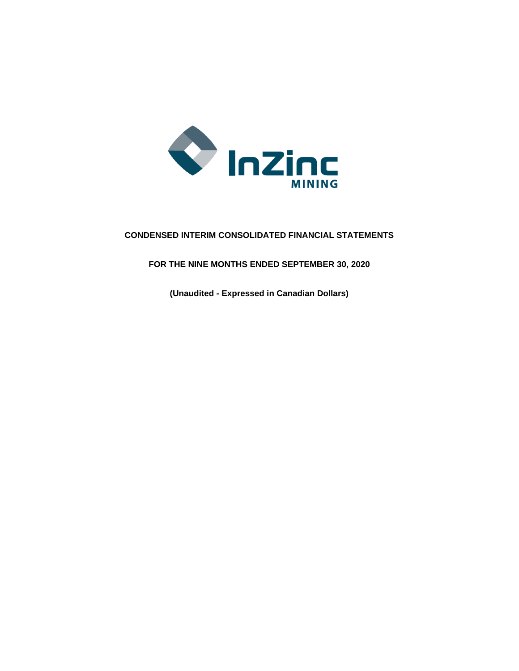

# **CONDENSED INTERIM CONSOLIDATED FINANCIAL STATEMENTS**

**FOR THE NINE MONTHS ENDED SEPTEMBER 30, 2020**

**(Unaudited - Expressed in Canadian Dollars)**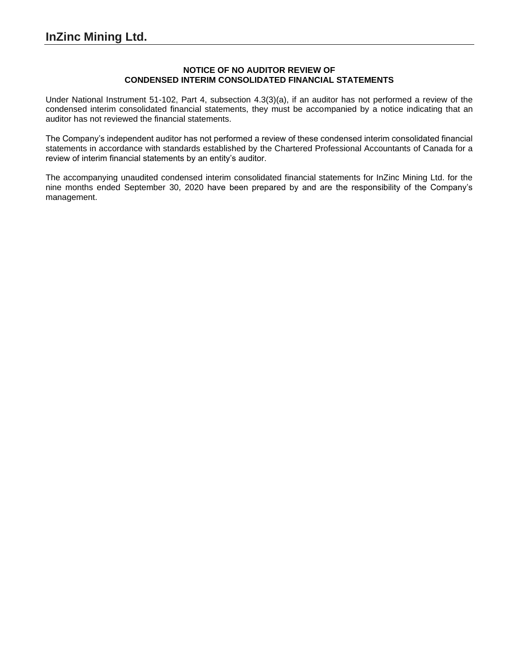### **NOTICE OF NO AUDITOR REVIEW OF CONDENSED INTERIM CONSOLIDATED FINANCIAL STATEMENTS**

Under National Instrument 51-102, Part 4, subsection 4.3(3)(a), if an auditor has not performed a review of the condensed interim consolidated financial statements, they must be accompanied by a notice indicating that an auditor has not reviewed the financial statements.

The Company's independent auditor has not performed a review of these condensed interim consolidated financial statements in accordance with standards established by the Chartered Professional Accountants of Canada for a review of interim financial statements by an entity's auditor.

The accompanying unaudited condensed interim consolidated financial statements for InZinc Mining Ltd. for the nine months ended September 30, 2020 have been prepared by and are the responsibility of the Company's management.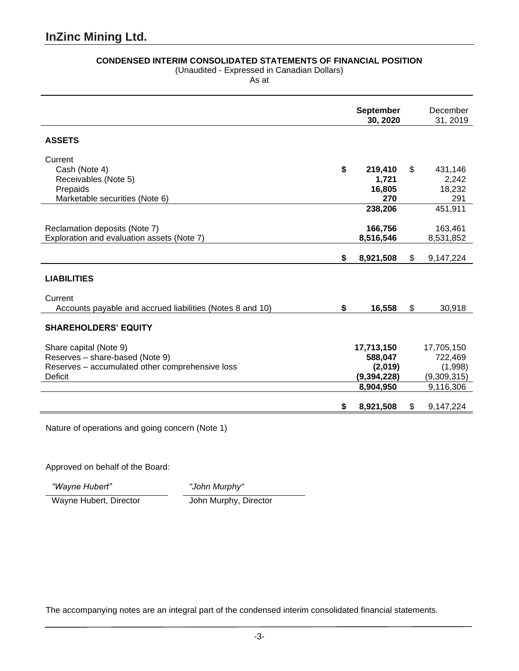# **CONDENSED INTERIM CONSOLIDATED STATEMENTS OF FINANCIAL POSITION**

(Unaudited - Expressed in Canadian Dollars)

As at

|                                                                             | <b>September</b><br>30, 2020 | December<br>31, 2019   |
|-----------------------------------------------------------------------------|------------------------------|------------------------|
| <b>ASSETS</b>                                                               |                              |                        |
| Current<br>Cash (Note 4)<br>Receivables (Note 5)                            | \$<br>219,410<br>1,721       | \$<br>431,146<br>2,242 |
| Prepaids<br>Marketable securities (Note 6)                                  | 16,805<br>270                | 18,232<br>291          |
|                                                                             | 238,206                      | 451,911                |
| Reclamation deposits (Note 7)<br>Exploration and evaluation assets (Note 7) | 166,756<br>8,516,546         | 163,461<br>8,531,852   |
|                                                                             | \$<br>8,921,508              | \$<br>9,147,224        |
| <b>LIABILITIES</b>                                                          |                              |                        |
| Current<br>Accounts payable and accrued liabilities (Notes 8 and 10)        | \$<br>16,558                 | \$<br>30,918           |
| <b>SHAREHOLDERS' EQUITY</b>                                                 |                              |                        |
| Share capital (Note 9)<br>Reserves - share-based (Note 9)                   | 17,713,150<br>588,047        | 17,705,150<br>722,469  |
| Reserves - accumulated other comprehensive loss<br><b>Deficit</b>           | (2,019)<br>(9, 394, 228)     | (1,998)<br>(9,309,315) |
|                                                                             | 8,904,950                    | 9,116,306              |
|                                                                             | \$<br>8,921,508              | \$<br>9,147,224        |

Nature of operations and going concern (Note 1)

Approved on behalf of the Board:

*"Wayne Hubert" "John Murphy"*

Wayne Hubert, Director John Murphy, Director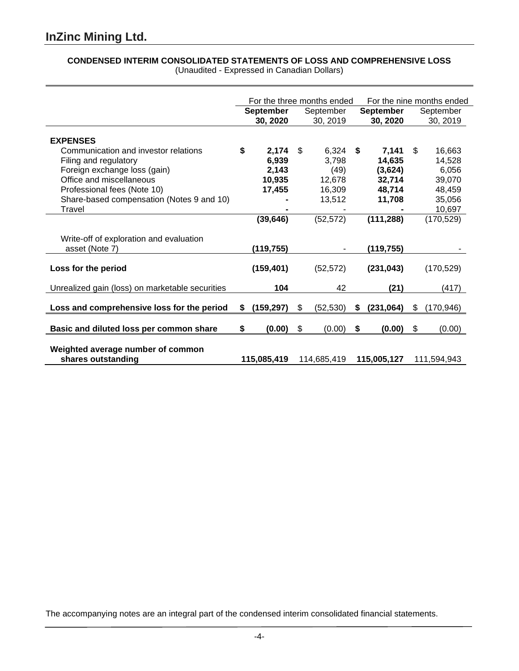# **CONDENSED INTERIM CONSOLIDATED STATEMENTS OF LOSS AND COMPREHENSIVE LOSS** (Unaudited - Expressed in Canadian Dollars)

|                                                           | For the three months ended |    |                | For the nine months ended |                  |    |                 |
|-----------------------------------------------------------|----------------------------|----|----------------|---------------------------|------------------|----|-----------------|
|                                                           | <b>September</b>           |    | September      |                           | <b>September</b> |    | September       |
|                                                           | 30, 2020                   |    | 30, 2019       |                           | 30, 2020         |    | 30, 2019        |
| <b>EXPENSES</b>                                           |                            |    |                |                           |                  |    |                 |
| Communication and investor relations                      | \$<br>2,174<br>6,939       | \$ | 6,324<br>3,798 | S                         | 7.141<br>14,635  | \$ | 16,663          |
| Filing and regulatory<br>Foreign exchange loss (gain)     | 2,143                      |    | (49)           |                           | (3,624)          |    | 14,528<br>6,056 |
| Office and miscellaneous                                  | 10,935                     |    | 12,678         |                           | 32,714           |    | 39,070          |
| Professional fees (Note 10)                               | 17,455                     |    | 16,309         |                           | 48,714           |    | 48,459          |
| Share-based compensation (Notes 9 and 10)                 |                            |    | 13,512         |                           | 11,708           |    | 35,056          |
| Travel                                                    |                            |    |                |                           |                  |    | 10,697          |
|                                                           | (39, 646)                  |    | (52, 572)      |                           | (111, 288)       |    | (170, 529)      |
| Write-off of exploration and evaluation<br>asset (Note 7) | (119,755)                  |    |                |                           | (119,755)        |    |                 |
| Loss for the period                                       | (159, 401)                 |    | (52, 572)      |                           | (231, 043)       |    | (170, 529)      |
| Unrealized gain (loss) on marketable securities           | 104                        |    | 42             |                           | (21)             |    | (417)           |
| Loss and comprehensive loss for the period                | \$<br>(159, 297)           | \$ | (52, 530)      | \$                        | (231,064)        | \$ | (170, 946)      |
| Basic and diluted loss per common share                   | \$<br>(0.00)               | \$ | (0.00)         | \$                        | (0.00)           | \$ | (0.00)          |
| Weighted average number of common<br>shares outstanding   | 115,085,419                |    | 114,685,419    |                           | 115,005,127      |    | 111,594,943     |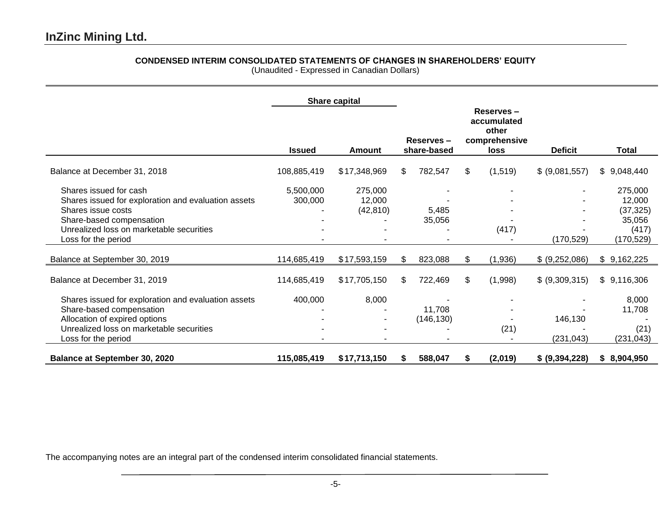# **CONDENSED INTERIM CONSOLIDATED STATEMENTS OF CHANGES IN SHAREHOLDERS' EQUITY**

(Unaudited - Expressed in Canadian Dollars)

|                                                                                                                                                                                                    |                      | Share capital                  |     |                          |    |                                                            |                       |                                                                 |
|----------------------------------------------------------------------------------------------------------------------------------------------------------------------------------------------------|----------------------|--------------------------------|-----|--------------------------|----|------------------------------------------------------------|-----------------------|-----------------------------------------------------------------|
|                                                                                                                                                                                                    | <b>Issued</b>        | Amount                         |     | Reserves-<br>share-based |    | Reserves-<br>accumulated<br>other<br>comprehensive<br>loss | <b>Deficit</b>        | <b>Total</b>                                                    |
| Balance at December 31, 2018                                                                                                                                                                       | 108,885,419          | \$17,348,969                   | \$. | 782,547                  | \$ | (1,519)                                                    | \$ (9,081,557)        | \$9,048,440                                                     |
| Shares issued for cash<br>Shares issued for exploration and evaluation assets<br>Shares issue costs<br>Share-based compensation<br>Unrealized loss on marketable securities<br>Loss for the period | 5,500,000<br>300,000 | 275,000<br>12,000<br>(42, 810) |     | 5,485<br>35,056          |    | (417)                                                      | (170, 529)            | 275,000<br>12,000<br>(37, 325)<br>35,056<br>(417)<br>(170, 529) |
| Balance at September 30, 2019                                                                                                                                                                      | 114,685,419          | \$17,593,159                   | \$  | 823,088                  | \$ | (1,936)                                                    | \$ (9,252,086)        | \$9,162,225                                                     |
| Balance at December 31, 2019                                                                                                                                                                       | 114,685,419          | \$17,705,150                   | \$  | 722,469                  | \$ | (1,998)                                                    | \$ (9,309,315)        | \$9,116,306                                                     |
| Shares issued for exploration and evaluation assets<br>Share-based compensation<br>Allocation of expired options<br>Unrealized loss on marketable securities<br>Loss for the period                | 400,000              | 8,000                          |     | 11,708<br>(146, 130)     |    | (21)                                                       | 146,130<br>(231, 043) | 8,000<br>11,708<br>(21)<br>(231, 043)                           |
| Balance at September 30, 2020                                                                                                                                                                      | 115,085,419          | \$17,713,150                   | S   | 588,047                  | S. | (2,019)                                                    | \$ (9,394,228)        | \$8,904,950                                                     |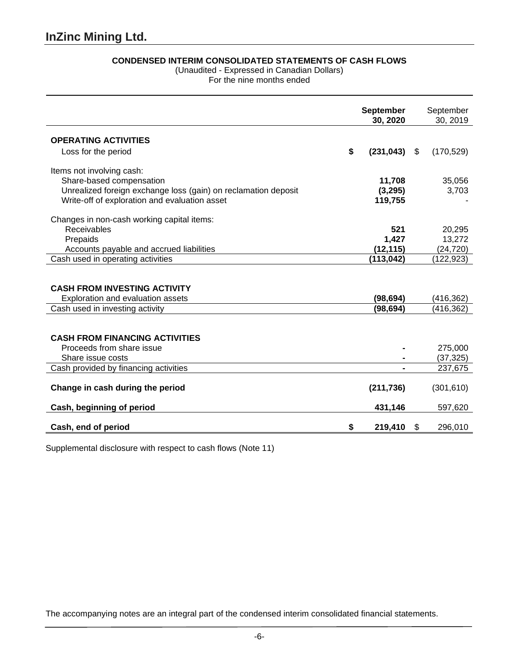# **CONDENSED INTERIM CONSOLIDATED STATEMENTS OF CASH FLOWS**

(Unaudited - Expressed in Canadian Dollars)

For the nine months ended

|                                                                                         | <b>September</b><br>30, 2020 |    | September<br>30, 2019 |
|-----------------------------------------------------------------------------------------|------------------------------|----|-----------------------|
| <b>OPERATING ACTIVITIES</b>                                                             |                              |    |                       |
| Loss for the period                                                                     | \$<br>(231, 043)             | S. | (170, 529)            |
| Items not involving cash:                                                               |                              |    |                       |
| Share-based compensation                                                                | 11,708                       |    | 35,056                |
| Unrealized foreign exchange loss (gain) on reclamation deposit                          | (3,295)                      |    | 3,703                 |
| Write-off of exploration and evaluation asset                                           | 119,755                      |    |                       |
| Changes in non-cash working capital items:                                              |                              |    |                       |
| Receivables                                                                             | 521                          |    | 20,295                |
| Prepaids                                                                                | 1,427                        |    | 13,272                |
| Accounts payable and accrued liabilities                                                | (12, 115)                    |    | (24, 720)             |
| Cash used in operating activities                                                       | (113, 042)                   |    | (122, 923)            |
| <b>CASH FROM INVESTING ACTIVITY</b><br>Exploration and evaluation assets                | (98, 694)                    |    | (416,362)             |
| Cash used in investing activity                                                         | (98, 694)                    |    | (416, 362)            |
| <b>CASH FROM FINANCING ACTIVITIES</b><br>Proceeds from share issue<br>Share issue costs |                              |    | 275,000<br>(37, 325)  |
| Cash provided by financing activities                                                   |                              |    | 237,675               |
| Change in cash during the period                                                        | (211, 736)                   |    | (301, 610)            |
| Cash, beginning of period                                                               | 431,146                      |    | 597,620               |
| Cash, end of period                                                                     | \$<br>219,410                | \$ | 296,010               |

Supplemental disclosure with respect to cash flows (Note 11)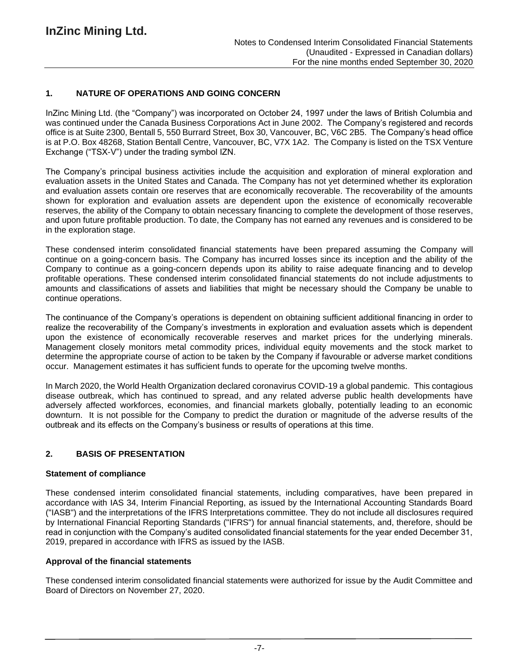### **1. NATURE OF OPERATIONS AND GOING CONCERN**

InZinc Mining Ltd. (the "Company") was incorporated on October 24, 1997 under the laws of British Columbia and was continued under the Canada Business Corporations Act in June 2002. The Company's registered and records office is at Suite 2300, Bentall 5, 550 Burrard Street, Box 30, Vancouver, BC, V6C 2B5. The Company's head office is at P.O. Box 48268, Station Bentall Centre, Vancouver, BC, V7X 1A2. The Company is listed on the TSX Venture Exchange ("TSX-V") under the trading symbol IZN.

The Company's principal business activities include the acquisition and exploration of mineral exploration and evaluation assets in the United States and Canada. The Company has not yet determined whether its exploration and evaluation assets contain ore reserves that are economically recoverable. The recoverability of the amounts shown for exploration and evaluation assets are dependent upon the existence of economically recoverable reserves, the ability of the Company to obtain necessary financing to complete the development of those reserves, and upon future profitable production. To date, the Company has not earned any revenues and is considered to be in the exploration stage.

These condensed interim consolidated financial statements have been prepared assuming the Company will continue on a going-concern basis. The Company has incurred losses since its inception and the ability of the Company to continue as a going-concern depends upon its ability to raise adequate financing and to develop profitable operations. These condensed interim consolidated financial statements do not include adjustments to amounts and classifications of assets and liabilities that might be necessary should the Company be unable to continue operations.

The continuance of the Company's operations is dependent on obtaining sufficient additional financing in order to realize the recoverability of the Company's investments in exploration and evaluation assets which is dependent upon the existence of economically recoverable reserves and market prices for the underlying minerals. Management closely monitors metal commodity prices, individual equity movements and the stock market to determine the appropriate course of action to be taken by the Company if favourable or adverse market conditions occur. Management estimates it has sufficient funds to operate for the upcoming twelve months.

In March 2020, the World Health Organization declared coronavirus COVID-19 a global pandemic. This contagious disease outbreak, which has continued to spread, and any related adverse public health developments have adversely affected workforces, economies, and financial markets globally, potentially leading to an economic downturn. It is not possible for the Company to predict the duration or magnitude of the adverse results of the outbreak and its effects on the Company's business or results of operations at this time.

# **2. BASIS OF PRESENTATION**

### **Statement of compliance**

These condensed interim consolidated financial statements, including comparatives, have been prepared in accordance with IAS 34, Interim Financial Reporting, as issued by the International Accounting Standards Board ("IASB") and the interpretations of the IFRS Interpretations committee. They do not include all disclosures required by International Financial Reporting Standards ("IFRS") for annual financial statements, and, therefore, should be read in conjunction with the Company's audited consolidated financial statements for the year ended December 31, 2019, prepared in accordance with IFRS as issued by the IASB.

### **Approval of the financial statements**

These condensed interim consolidated financial statements were authorized for issue by the Audit Committee and Board of Directors on November 27, 2020.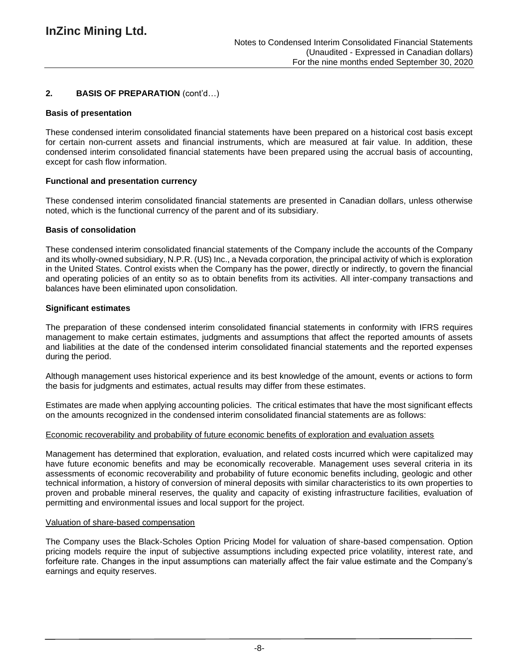# **2. BASIS OF PREPARATION** (cont'd…)

### **Basis of presentation**

These condensed interim consolidated financial statements have been prepared on a historical cost basis except for certain non-current assets and financial instruments, which are measured at fair value. In addition, these condensed interim consolidated financial statements have been prepared using the accrual basis of accounting, except for cash flow information.

# **Functional and presentation currency**

These condensed interim consolidated financial statements are presented in Canadian dollars, unless otherwise noted, which is the functional currency of the parent and of its subsidiary.

### **Basis of consolidation**

These condensed interim consolidated financial statements of the Company include the accounts of the Company and its wholly-owned subsidiary, N.P.R. (US) Inc., a Nevada corporation, the principal activity of which is exploration in the United States. Control exists when the Company has the power, directly or indirectly, to govern the financial and operating policies of an entity so as to obtain benefits from its activities. All inter-company transactions and balances have been eliminated upon consolidation.

### **Significant estimates**

The preparation of these condensed interim consolidated financial statements in conformity with IFRS requires management to make certain estimates, judgments and assumptions that affect the reported amounts of assets and liabilities at the date of the condensed interim consolidated financial statements and the reported expenses during the period.

Although management uses historical experience and its best knowledge of the amount, events or actions to form the basis for judgments and estimates, actual results may differ from these estimates.

Estimates are made when applying accounting policies. The critical estimates that have the most significant effects on the amounts recognized in the condensed interim consolidated financial statements are as follows:

### Economic recoverability and probability of future economic benefits of exploration and evaluation assets

Management has determined that exploration, evaluation, and related costs incurred which were capitalized may have future economic benefits and may be economically recoverable. Management uses several criteria in its assessments of economic recoverability and probability of future economic benefits including, geologic and other technical information, a history of conversion of mineral deposits with similar characteristics to its own properties to proven and probable mineral reserves, the quality and capacity of existing infrastructure facilities, evaluation of permitting and environmental issues and local support for the project.

### Valuation of share-based compensation

The Company uses the Black-Scholes Option Pricing Model for valuation of share-based compensation. Option pricing models require the input of subjective assumptions including expected price volatility, interest rate, and forfeiture rate. Changes in the input assumptions can materially affect the fair value estimate and the Company's earnings and equity reserves.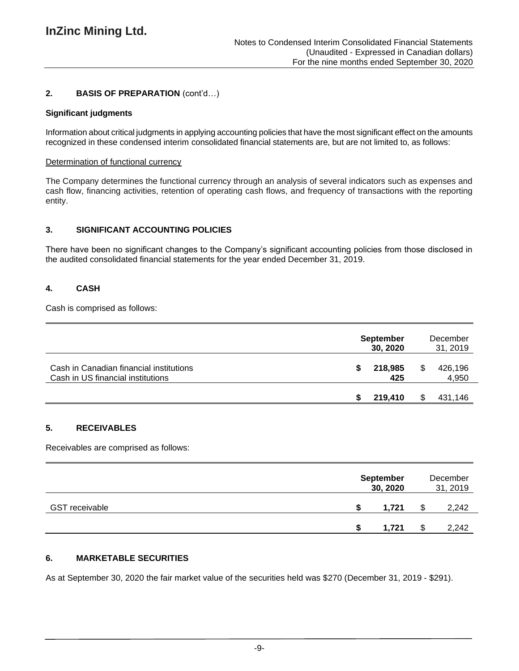# **2. BASIS OF PREPARATION** (cont'd…)

### **Significant judgments**

Information about critical judgments in applying accounting policies that have the most significant effect on the amounts recognized in these condensed interim consolidated financial statements are, but are not limited to, as follows:

### Determination of functional currency

The Company determines the functional currency through an analysis of several indicators such as expenses and cash flow, financing activities, retention of operating cash flows, and frequency of transactions with the reporting entity.

# **3. SIGNIFICANT ACCOUNTING POLICIES**

There have been no significant changes to the Company's significant accounting policies from those disclosed in the audited consolidated financial statements for the year ended December 31, 2019.

# **4. CASH**

Cash is comprised as follows:

|                                                                              | <b>September</b><br>30, 2020 |   | December<br>31, 2019 |
|------------------------------------------------------------------------------|------------------------------|---|----------------------|
| Cash in Canadian financial institutions<br>Cash in US financial institutions | 218,985<br>425               | S | 426,196<br>4,950     |
|                                                                              | 219,410                      |   | 431,146              |

# **5. RECEIVABLES**

Receivables are comprised as follows:

|                       | <b>September</b><br>30, 2020 |  | December<br>31, 2019 |
|-----------------------|------------------------------|--|----------------------|
| <b>GST</b> receivable | 1.721                        |  | 2,242                |
|                       | 1.721                        |  | 2,242                |

# **6. MARKETABLE SECURITIES**

As at September 30, 2020 the fair market value of the securities held was \$270 (December 31, 2019 - \$291).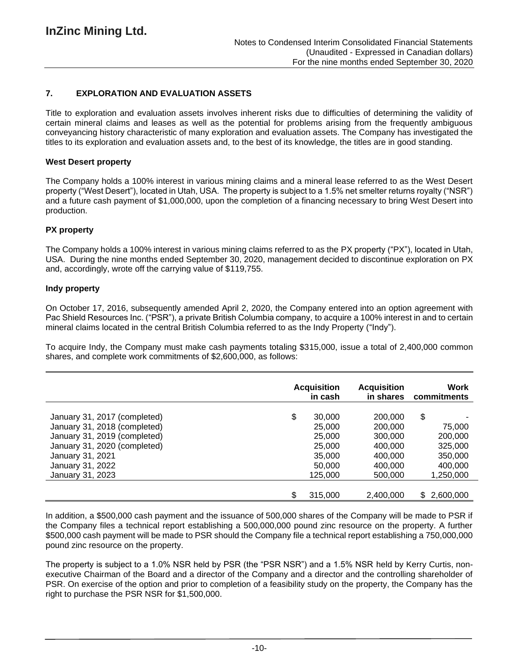# **7. EXPLORATION AND EVALUATION ASSETS**

Title to exploration and evaluation assets involves inherent risks due to difficulties of determining the validity of certain mineral claims and leases as well as the potential for problems arising from the frequently ambiguous conveyancing history characteristic of many exploration and evaluation assets. The Company has investigated the titles to its exploration and evaluation assets and, to the best of its knowledge, the titles are in good standing.

### **West Desert property**

The Company holds a 100% interest in various mining claims and a mineral lease referred to as the West Desert property ("West Desert"), located in Utah, USA. The property is subject to a 1.5% net smelter returns royalty ("NSR") and a future cash payment of \$1,000,000, upon the completion of a financing necessary to bring West Desert into production.

### **PX property**

The Company holds a 100% interest in various mining claims referred to as the PX property ("PX"), located in Utah, USA. During the nine months ended September 30, 2020, management decided to discontinue exploration on PX and, accordingly, wrote off the carrying value of \$119,755.

### **Indy property**

On October 17, 2016, subsequently amended April 2, 2020, the Company entered into an option agreement with Pac Shield Resources Inc. ("PSR"), a private British Columbia company, to acquire a 100% interest in and to certain mineral claims located in the central British Columbia referred to as the Indy Property ("Indy").

To acquire Indy, the Company must make cash payments totaling \$315,000, issue a total of 2,400,000 common shares, and complete work commitments of \$2,600,000, as follows:

|                              | <b>Acquisition</b><br>in cash | <b>Acquisition</b><br>in shares | Work<br>commitments |
|------------------------------|-------------------------------|---------------------------------|---------------------|
| January 31, 2017 (completed) | \$<br>30,000                  | 200,000                         | \$                  |
| January 31, 2018 (completed) | 25,000                        | 200,000                         | 75,000              |
| January 31, 2019 (completed) | 25,000                        | 300,000                         | 200,000             |
| January 31, 2020 (completed) | 25,000                        | 400,000                         | 325,000             |
| January 31, 2021             | 35,000                        | 400.000                         | 350,000             |
| January 31, 2022             | 50,000                        | 400,000                         | 400,000             |
| January 31, 2023             | 125,000                       | 500,000                         | 1,250,000           |
|                              | \$<br>315,000                 | 2,400,000                       | 2,600,000<br>S.     |

In addition, a \$500,000 cash payment and the issuance of 500,000 shares of the Company will be made to PSR if the Company files a technical report establishing a 500,000,000 pound zinc resource on the property. A further \$500,000 cash payment will be made to PSR should the Company file a technical report establishing a 750,000,000 pound zinc resource on the property.

The property is subject to a 1.0% NSR held by PSR (the "PSR NSR") and a 1.5% NSR held by Kerry Curtis, nonexecutive Chairman of the Board and a director of the Company and a director and the controlling shareholder of PSR. On exercise of the option and prior to completion of a feasibility study on the property, the Company has the right to purchase the PSR NSR for \$1,500,000.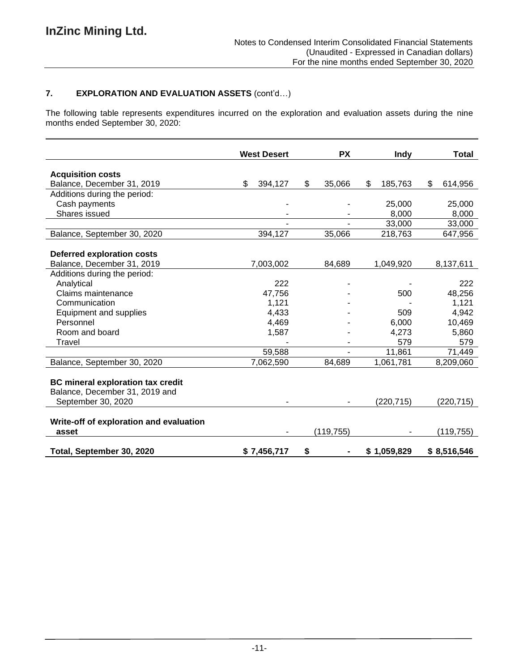# **7. EXPLORATION AND EVALUATION ASSETS** (cont'd…)

The following table represents expenditures incurred on the exploration and evaluation assets during the nine months ended September 30, 2020:

|                                                                                                  | <b>West Desert</b> | <b>PX</b>    | Indy          | Total         |
|--------------------------------------------------------------------------------------------------|--------------------|--------------|---------------|---------------|
|                                                                                                  |                    |              |               |               |
| <b>Acquisition costs</b>                                                                         |                    |              |               |               |
| Balance, December 31, 2019                                                                       | \$<br>394,127      | \$<br>35,066 | \$<br>185,763 | \$<br>614,956 |
| Additions during the period:                                                                     |                    |              |               |               |
| Cash payments                                                                                    |                    |              | 25,000        | 25,000        |
| Shares issued                                                                                    |                    |              | 8,000         | 8,000         |
|                                                                                                  |                    |              | 33,000        | 33,000        |
| Balance, September 30, 2020                                                                      | 394,127            | 35,066       | 218,763       | 647,956       |
|                                                                                                  |                    |              |               |               |
| <b>Deferred exploration costs</b>                                                                |                    |              |               |               |
| Balance, December 31, 2019                                                                       | 7,003,002          | 84,689       | 1,049,920     | 8,137,611     |
| Additions during the period:                                                                     |                    |              |               |               |
| Analytical                                                                                       | 222                |              |               | 222           |
| Claims maintenance                                                                               | 47,756             |              | 500           | 48,256        |
| Communication                                                                                    | 1,121              |              |               | 1,121         |
| Equipment and supplies                                                                           | 4,433              |              | 509           | 4,942         |
| Personnel                                                                                        | 4,469              |              | 6,000         | 10,469        |
| Room and board                                                                                   | 1,587              |              | 4,273         | 5,860         |
| Travel                                                                                           |                    |              | 579           | 579           |
|                                                                                                  | 59,588             |              | 11,861        | 71,449        |
| Balance, September 30, 2020                                                                      | 7,062,590          | 84,689       | 1,061,781     | 8,209,060     |
| <b>BC</b> mineral exploration tax credit<br>Balance, December 31, 2019 and<br>September 30, 2020 |                    |              | (220, 715)    | (220, 715)    |
|                                                                                                  |                    |              |               |               |
| Write-off of exploration and evaluation                                                          |                    |              |               |               |
| asset                                                                                            |                    | (119, 755)   |               | (119, 755)    |
| Total, September 30, 2020                                                                        | \$7,456,717        | \$           | \$1,059,829   | \$8,516,546   |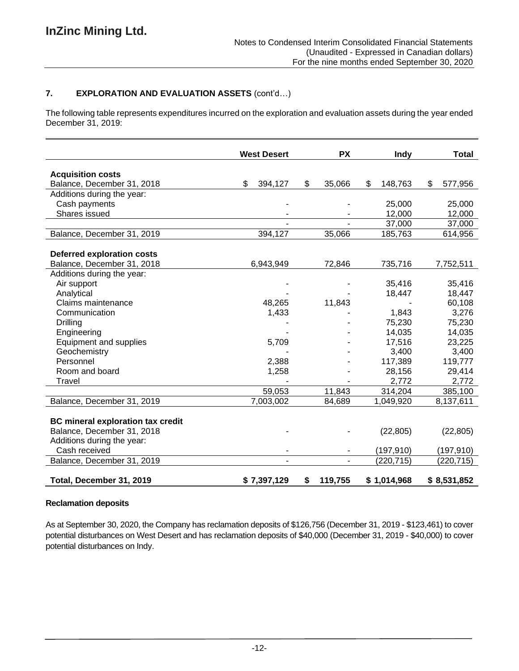# **7. EXPLORATION AND EVALUATION ASSETS** (cont'd…)

The following table represents expenditures incurred on the exploration and evaluation assets during the year ended December 31, 2019:

|                                          | <b>West Desert</b> | <b>PX</b>     | Indy          | Total         |
|------------------------------------------|--------------------|---------------|---------------|---------------|
| <b>Acquisition costs</b>                 |                    |               |               |               |
| Balance, December 31, 2018               | \$<br>394,127      | \$<br>35,066  | \$<br>148,763 | \$<br>577,956 |
| Additions during the year:               |                    |               |               |               |
| Cash payments                            |                    |               | 25,000        | 25,000        |
| Shares issued                            |                    |               | 12,000        | 12,000        |
|                                          |                    |               | 37,000        | 37,000        |
| Balance, December 31, 2019               | 394,127            | 35,066        | 185,763       | 614,956       |
|                                          |                    |               |               |               |
| <b>Deferred exploration costs</b>        |                    |               |               |               |
| Balance, December 31, 2018               | 6,943,949          | 72,846        | 735,716       | 7,752,511     |
| Additions during the year:               |                    |               |               |               |
| Air support                              |                    |               | 35,416        | 35,416        |
| Analytical                               |                    |               | 18,447        | 18,447        |
| Claims maintenance                       | 48,265             | 11,843        |               | 60,108        |
| Communication                            | 1,433              |               | 1,843         | 3,276         |
| Drilling                                 |                    |               | 75,230        | 75,230        |
| Engineering                              |                    |               | 14,035        | 14,035        |
| <b>Equipment and supplies</b>            | 5,709              |               | 17,516        | 23,225        |
| Geochemistry                             |                    |               | 3,400         | 3,400         |
| Personnel                                | 2,388              |               | 117,389       | 119,777       |
| Room and board                           | 1,258              |               | 28,156        | 29,414        |
| Travel                                   |                    |               | 2,772         | 2,772         |
|                                          | 59,053             | 11,843        | 314,204       | 385,100       |
| Balance, December 31, 2019               | 7,003,002          | 84,689        | 1,049,920     | 8,137,611     |
|                                          |                    |               |               |               |
| <b>BC mineral exploration tax credit</b> |                    |               |               |               |
| Balance, December 31, 2018               |                    |               | (22, 805)     | (22, 805)     |
| Additions during the year:               |                    |               |               |               |
| Cash received                            |                    |               | (197, 910)    | (197, 910)    |
| Balance, December 31, 2019               |                    |               | (220, 715)    | (220, 715)    |
| Total, December 31, 2019                 | \$7,397,129        | \$<br>119,755 | \$1,014,968   | \$8,531,852   |

# **Reclamation deposits**

As at September 30, 2020, the Company has reclamation deposits of \$126,756 (December 31, 2019 - \$123,461) to cover potential disturbances on West Desert and has reclamation deposits of \$40,000 (December 31, 2019 - \$40,000) to cover potential disturbances on Indy.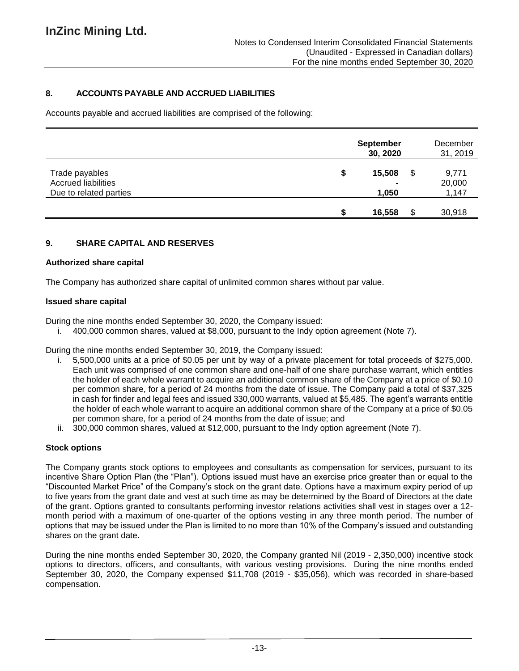# **8. ACCOUNTS PAYABLE AND ACCRUED LIABILITIES**

Accounts payable and accrued liabilities are comprised of the following:

|                                                                        | <b>September</b><br>30, 2020 |     | December<br>31, 2019     |
|------------------------------------------------------------------------|------------------------------|-----|--------------------------|
| Trade payables<br><b>Accrued liabilities</b><br>Due to related parties | \$<br>15,508<br>1,050        | \$  | 9,771<br>20,000<br>1,147 |
|                                                                        | 16,558                       | \$. | 30,918                   |

### **9. SHARE CAPITAL AND RESERVES**

#### **Authorized share capital**

The Company has authorized share capital of unlimited common shares without par value.

### **Issued share capital**

During the nine months ended September 30, 2020, the Company issued:

i. 400,000 common shares, valued at \$8,000, pursuant to the Indy option agreement (Note 7).

During the nine months ended September 30, 2019, the Company issued:

- i. 5,500,000 units at a price of \$0.05 per unit by way of a private placement for total proceeds of \$275,000. Each unit was comprised of one common share and one-half of one share purchase warrant, which entitles the holder of each whole warrant to acquire an additional common share of the Company at a price of \$0.10 per common share, for a period of 24 months from the date of issue. The Company paid a total of \$37,325 in cash for finder and legal fees and issued 330,000 warrants, valued at \$5,485. The agent's warrants entitle the holder of each whole warrant to acquire an additional common share of the Company at a price of \$0.05 per common share, for a period of 24 months from the date of issue; and
- ii. 300,000 common shares, valued at \$12,000, pursuant to the Indy option agreement (Note 7).

### **Stock options**

The Company grants stock options to employees and consultants as compensation for services, pursuant to its incentive Share Option Plan (the "Plan"). Options issued must have an exercise price greater than or equal to the "Discounted Market Price" of the Company's stock on the grant date. Options have a maximum expiry period of up to five years from the grant date and vest at such time as may be determined by the Board of Directors at the date of the grant. Options granted to consultants performing investor relations activities shall vest in stages over a 12 month period with a maximum of one-quarter of the options vesting in any three month period. The number of options that may be issued under the Plan is limited to no more than 10% of the Company's issued and outstanding shares on the grant date.

During the nine months ended September 30, 2020, the Company granted Nil (2019 - 2,350,000) incentive stock options to directors, officers, and consultants, with various vesting provisions. During the nine months ended September 30, 2020, the Company expensed \$11,708 (2019 - \$35,056), which was recorded in share-based compensation.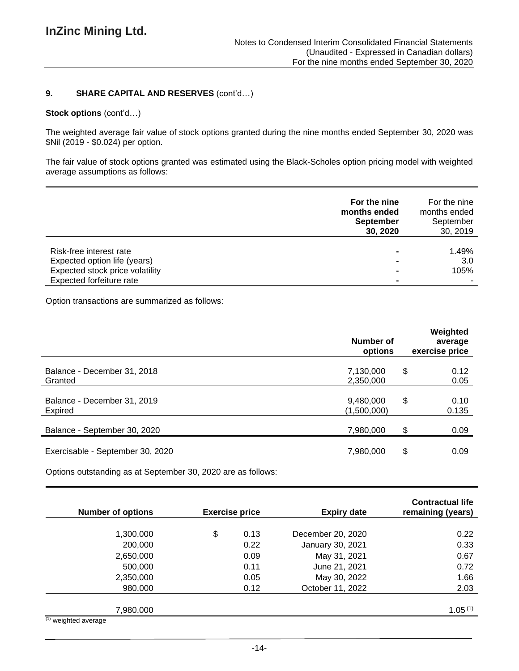### **9. SHARE CAPITAL AND RESERVES** (cont'd…)

#### **Stock options** (cont'd…)

The weighted average fair value of stock options granted during the nine months ended September 30, 2020 was \$Nil (2019 - \$0.024) per option.

The fair value of stock options granted was estimated using the Black-Scholes option pricing model with weighted average assumptions as follows:

|                                                                                            | For the nine<br>months ended<br><b>September</b><br>30, 2020 | For the nine<br>months ended<br>September<br>30, 2019 |
|--------------------------------------------------------------------------------------------|--------------------------------------------------------------|-------------------------------------------------------|
| Risk-free interest rate<br>Expected option life (years)<br>Expected stock price volatility |                                                              | 1.49%<br>3.0<br>105%                                  |
| Expected forfeiture rate                                                                   |                                                              |                                                       |

Option transactions are summarized as follows:

|                                        | Number of<br>options     | Weighted<br>average<br>exercise price |
|----------------------------------------|--------------------------|---------------------------------------|
| Balance - December 31, 2018<br>Granted | 7,130,000<br>2,350,000   | \$<br>0.12<br>0.05                    |
| Balance - December 31, 2019<br>Expired | 9,480,000<br>(1,500,000) | \$<br>0.10<br>0.135                   |
| Balance - September 30, 2020           | 7,980,000                | \$<br>0.09                            |
| Exercisable - September 30, 2020       | 7,980,000                | \$<br>0.09                            |

Options outstanding as at September 30, 2020 are as follows:

| <b>Number of options</b>    | <b>Exercise price</b> |      | <b>Expiry date</b> | <b>Contractual life</b><br>remaining (years) |  |
|-----------------------------|-----------------------|------|--------------------|----------------------------------------------|--|
|                             |                       |      |                    |                                              |  |
| 1,300,000                   | \$                    | 0.13 | December 20, 2020  | 0.22                                         |  |
| 200,000                     |                       | 0.22 | January 30, 2021   | 0.33                                         |  |
| 2,650,000                   |                       | 0.09 | May 31, 2021       | 0.67                                         |  |
| 500,000                     |                       | 0.11 | June 21, 2021      | 0.72                                         |  |
| 2,350,000                   |                       | 0.05 | May 30, 2022       | 1.66                                         |  |
| 980,000                     |                       | 0.12 | October 11, 2022   | 2.03                                         |  |
| 7,980,000<br>$(4)$ $\cdots$ |                       |      |                    | 1.05(1)                                      |  |

 $(1)$  weighted average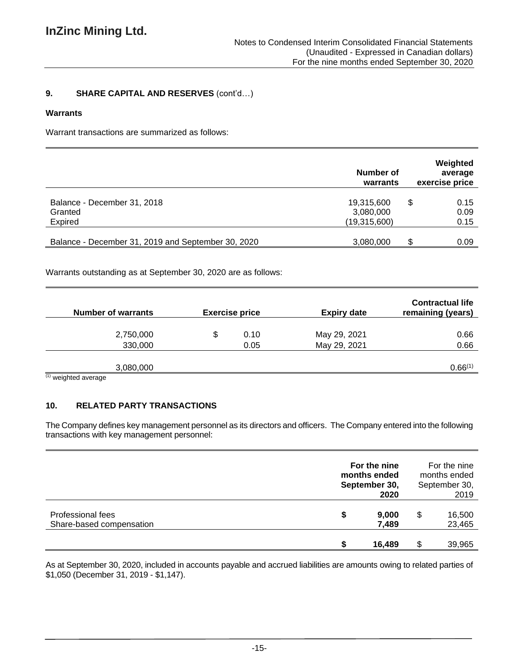# **9. SHARE CAPITAL AND RESERVES** (cont'd…)

### **Warrants**

Warrant transactions are summarized as follows:

|                                                    | Number of<br>warrants                   | Weighted<br>average<br>exercise price |
|----------------------------------------------------|-----------------------------------------|---------------------------------------|
| Balance - December 31, 2018<br>Granted<br>Expired  | 19,315,600<br>3,080,000<br>(19,315,600) | \$<br>0.15<br>0.09<br>0.15            |
| Balance - December 31, 2019 and September 30, 2020 | 3,080,000                               | S<br>0.09                             |

Warrants outstanding as at September 30, 2020 are as follows:

| <b>Number of warrants</b>         | <b>Exercise price</b> |      | <b>Expiry date</b> | <b>Contractual life</b><br>remaining (years) |  |
|-----------------------------------|-----------------------|------|--------------------|----------------------------------------------|--|
|                                   |                       |      |                    |                                              |  |
| 2,750,000                         | S                     | 0.10 | May 29, 2021       | 0.66                                         |  |
| 330,000                           |                       | 0.05 | May 29, 2021       | 0.66                                         |  |
|                                   |                       |      |                    |                                              |  |
| 3,080,000                         |                       |      |                    | 0.66(1)                                      |  |
| (4) and the first and the company |                       |      |                    |                                              |  |

(1) weighted average

# **10. RELATED PARTY TRANSACTIONS**

The Company defines key management personnel as its directors and officers. The Company entered into the following transactions with key management personnel:

|                                               | For the nine<br>months ended<br>September 30,<br>2020 | For the nine<br>months ended<br>September 30,<br>2019 |
|-----------------------------------------------|-------------------------------------------------------|-------------------------------------------------------|
| Professional fees<br>Share-based compensation | \$<br>9,000<br>7,489                                  | \$<br>16,500<br>23,465                                |
|                                               | 16,489                                                | 39,965                                                |

As at September 30, 2020, included in accounts payable and accrued liabilities are amounts owing to related parties of \$1,050 (December 31, 2019 - \$1,147).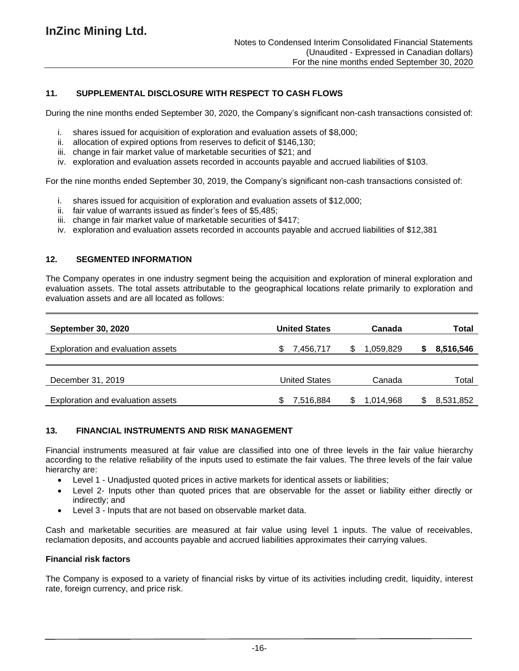### **11. SUPPLEMENTAL DISCLOSURE WITH RESPECT TO CASH FLOWS**

During the nine months ended September 30, 2020, the Company's significant non-cash transactions consisted of:

- i. shares issued for acquisition of exploration and evaluation assets of \$8,000;
- ii. allocation of expired options from reserves to deficit of \$146,130;
- iii. change in fair market value of marketable securities of \$21; and
- iv. exploration and evaluation assets recorded in accounts payable and accrued liabilities of \$103.

For the nine months ended September 30, 2019, the Company's significant non-cash transactions consisted of:

- i. shares issued for acquisition of exploration and evaluation assets of \$12,000;
- ii. fair value of warrants issued as finder's fees of \$5,485;
- iii. change in fair market value of marketable securities of \$417;
- iv. exploration and evaluation assets recorded in accounts payable and accrued liabilities of \$12,381

### **12. SEGMENTED INFORMATION**

The Company operates in one industry segment being the acquisition and exploration of mineral exploration and evaluation assets. The total assets attributable to the geographical locations relate primarily to exploration and evaluation assets and are all located as follows:

| <b>September 30, 2020</b>         | <b>United States</b> | Canada    | Total     |
|-----------------------------------|----------------------|-----------|-----------|
| Exploration and evaluation assets | 7,456,717            | 1,059,829 | 8,516,546 |
|                                   |                      |           |           |
| December 31, 2019                 | <b>United States</b> | Canada    | Total     |
| Exploration and evaluation assets | 7,516,884            | 1,014,968 | 8,531,852 |

# **13. FINANCIAL INSTRUMENTS AND RISK MANAGEMENT**

Financial instruments measured at fair value are classified into one of three levels in the fair value hierarchy according to the relative reliability of the inputs used to estimate the fair values. The three levels of the fair value hierarchy are:

- Level 1 Unadjusted quoted prices in active markets for identical assets or liabilities;
- Level 2- Inputs other than quoted prices that are observable for the asset or liability either directly or indirectly; and
- Level 3 Inputs that are not based on observable market data.

Cash and marketable securities are measured at fair value using level 1 inputs. The value of receivables, reclamation deposits, and accounts payable and accrued liabilities approximates their carrying values.

### **Financial risk factors**

The Company is exposed to a variety of financial risks by virtue of its activities including credit, liquidity, interest rate, foreign currency, and price risk.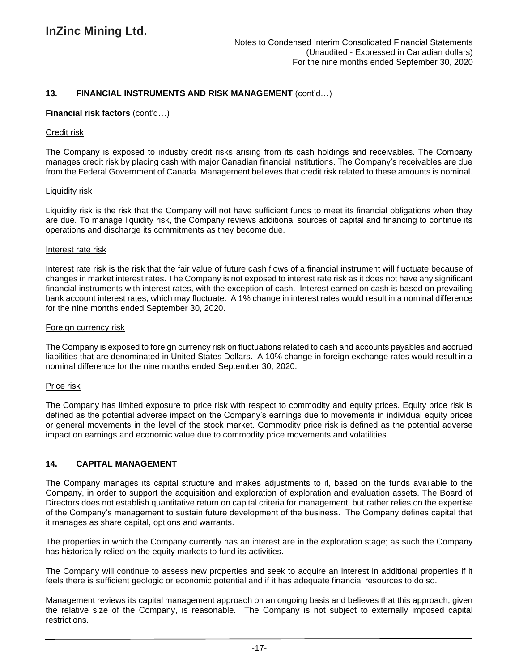### **13. FINANCIAL INSTRUMENTS AND RISK MANAGEMENT** (cont'd…)

#### **Financial risk factors** (cont'd…)

#### Credit risk

The Company is exposed to industry credit risks arising from its cash holdings and receivables. The Company manages credit risk by placing cash with major Canadian financial institutions. The Company's receivables are due from the Federal Government of Canada. Management believes that credit risk related to these amounts is nominal.

#### Liquidity risk

Liquidity risk is the risk that the Company will not have sufficient funds to meet its financial obligations when they are due. To manage liquidity risk, the Company reviews additional sources of capital and financing to continue its operations and discharge its commitments as they become due.

#### Interest rate risk

Interest rate risk is the risk that the fair value of future cash flows of a financial instrument will fluctuate because of changes in market interest rates. The Company is not exposed to interest rate risk as it does not have any significant financial instruments with interest rates, with the exception of cash. Interest earned on cash is based on prevailing bank account interest rates, which may fluctuate. A 1% change in interest rates would result in a nominal difference for the nine months ended September 30, 2020.

#### Foreign currency risk

The Company is exposed to foreign currency risk on fluctuations related to cash and accounts payables and accrued liabilities that are denominated in United States Dollars. A 10% change in foreign exchange rates would result in a nominal difference for the nine months ended September 30, 2020.

### Price risk

The Company has limited exposure to price risk with respect to commodity and equity prices. Equity price risk is defined as the potential adverse impact on the Company's earnings due to movements in individual equity prices or general movements in the level of the stock market. Commodity price risk is defined as the potential adverse impact on earnings and economic value due to commodity price movements and volatilities.

### **14. CAPITAL MANAGEMENT**

The Company manages its capital structure and makes adjustments to it, based on the funds available to the Company, in order to support the acquisition and exploration of exploration and evaluation assets. The Board of Directors does not establish quantitative return on capital criteria for management, but rather relies on the expertise of the Company's management to sustain future development of the business. The Company defines capital that it manages as share capital, options and warrants.

The properties in which the Company currently has an interest are in the exploration stage; as such the Company has historically relied on the equity markets to fund its activities.

The Company will continue to assess new properties and seek to acquire an interest in additional properties if it feels there is sufficient geologic or economic potential and if it has adequate financial resources to do so.

Management reviews its capital management approach on an ongoing basis and believes that this approach, given the relative size of the Company, is reasonable. The Company is not subject to externally imposed capital restrictions.